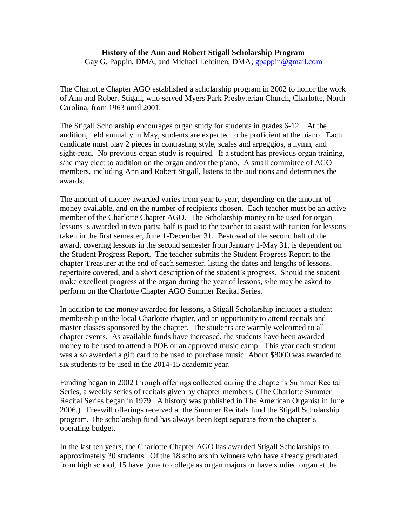#### **History of the Ann and Robert Stigall Scholarship Program** Gay G. Pappin, DMA, and Michael Lehtinen, DMA; [gpappin@gmail.com](mailto:gpappin@gmail.com)

The Charlotte Chapter AGO established a scholarship program in 2002 to honor the work of Ann and Robert Stigall, who served Myers Park Presbyterian Church, Charlotte, North Carolina, from 1963 until 2001.

The Stigall Scholarship encourages organ study for students in grades 6-12. At the audition, held annually in May, students are expected to be proficient at the piano. Each candidate must play 2 pieces in contrasting style, scales and arpeggios, a hymn, and sight-read. No previous organ study is required. If a student has previous organ training, s/he may elect to audition on the organ and/or the piano. A small committee of AGO members, including Ann and Robert Stigall, listens to the auditions and determines the awards.

The amount of money awarded varies from year to year, depending on the amount of money available, and on the number of recipients chosen. Each teacher must be an active member of the Charlotte Chapter AGO. The Scholarship money to be used for organ lessons is awarded in two parts: half is paid to the teacher to assist with tuition for lessons taken in the first semester, June 1-December 31. Bestowal of the second half of the award, covering lessons in the second semester from January 1-May 31, is dependent on the Student Progress Report. The teacher submits the Student Progress Report to the chapter Treasurer at the end of each semester, listing the dates and lengths of lessons, repertoire covered, and a short description of the student's progress. Should the student make excellent progress at the organ during the year of lessons, s/he may be asked to perform on the Charlotte Chapter AGO Summer Recital Series.

In addition to the money awarded for lessons, a Stigall Scholarship includes a student membership in the local Charlotte chapter, and an opportunity to attend recitals and master classes sponsored by the chapter. The students are warmly welcomed to all chapter events. As available funds have increased, the students have been awarded money to be used to attend a POE or an approved music camp. This year each student was also awarded a gift card to be used to purchase music. About \$8000 was awarded to six students to be used in the 2014-15 academic year.

Funding began in 2002 through offerings collected during the chapter's Summer Recital Series, a weekly series of recitals given by chapter members. (The Charlotte Summer Recital Series began in 1979. A history was published in The American Organist in June 2006.) Freewill offerings received at the Summer Recitals fund the Stigall Scholarship program. The scholarship fund has always been kept separate from the chapter's operating budget.

In the last ten years, the Charlotte Chapter AGO has awarded Stigall Scholarships to approximately 30 students. Of the 18 scholarship winners who have already graduated from high school, 15 have gone to college as organ majors or have studied organ at the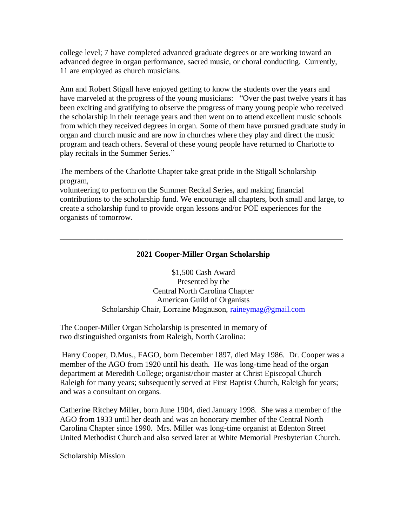college level; 7 have completed advanced graduate degrees or are working toward an advanced degree in organ performance, sacred music, or choral conducting. Currently, 11 are employed as church musicians.

Ann and Robert Stigall have enjoyed getting to know the students over the years and have marveled at the progress of the young musicians: "Over the past twelve years it has been exciting and gratifying to observe the progress of many young people who received the scholarship in their teenage years and then went on to attend excellent music schools from which they received degrees in organ. Some of them have pursued graduate study in organ and church music and are now in churches where they play and direct the music program and teach others. Several of these young people have returned to Charlotte to play recitals in the Summer Series."

The members of the Charlotte Chapter take great pride in the Stigall Scholarship program,

volunteering to perform on the Summer Recital Series, and making financial contributions to the scholarship fund. We encourage all chapters, both small and large, to create a scholarship fund to provide organ lessons and/or POE experiences for the organists of tomorrow.

# **2021 Cooper-Miller Organ Scholarship**

\_\_\_\_\_\_\_\_\_\_\_\_\_\_\_\_\_\_\_\_\_\_\_\_\_\_\_\_\_\_\_\_\_\_\_\_\_\_\_\_\_\_\_\_\_\_\_\_\_\_\_\_\_\_\_\_\_\_\_\_\_\_\_\_\_\_\_\_\_\_\_

\$1,500 Cash Award Presented by the Central North Carolina Chapter American Guild of Organists Scholarship Chair, Lorraine Magnuson, [raineymag@gmail.com](mailto:raineymag@gmail.com)

The Cooper-Miller Organ Scholarship is presented in memory of two distinguished organists from Raleigh, North Carolina:

Harry Cooper, D.Mus., FAGO, born December 1897, died May 1986. Dr. Cooper was a member of the AGO from 1920 until his death. He was long-time head of the organ department at Meredith College; organist/choir master at Christ Episcopal Church Raleigh for many years; subsequently served at First Baptist Church, Raleigh for years; and was a consultant on organs.

Catherine Ritchey Miller, born June 1904, died January 1998. She was a member of the AGO from 1933 until her death and was an honorary member of the Central North Carolina Chapter since 1990. Mrs. Miller was long-time organist at Edenton Street United Methodist Church and also served later at White Memorial Presbyterian Church.

Scholarship Mission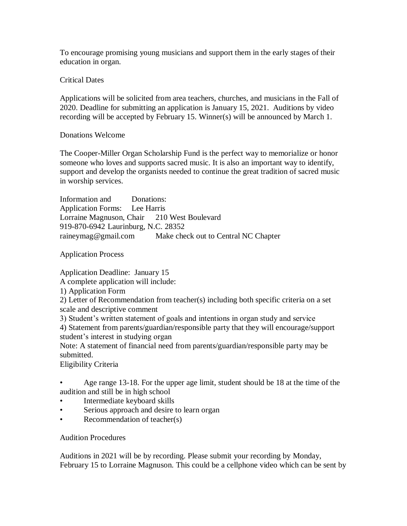To encourage promising young musicians and support them in the early stages of their education in organ.

Critical Dates

Applications will be solicited from area teachers, churches, and musicians in the Fall of 2020. Deadline for submitting an application is January 15, 2021. Auditions by video recording will be accepted by February 15. Winner(s) will be announced by March 1.

### Donations Welcome

The Cooper-Miller Organ Scholarship Fund is the perfect way to memorialize or honor someone who loves and supports sacred music. It is also an important way to identify, support and develop the organists needed to continue the great tradition of sacred music in worship services.

Information and Donations: Application Forms: Lee Harris Lorraine Magnuson, Chair 210 West Boulevard 919-870-6942 Laurinburg, N.C. 28352 raineymag@gmail.com Make check out to Central NC Chapter

Application Process

Application Deadline: January 15

A complete application will include:

1) Application Form

2) Letter of Recommendation from teacher(s) including both specific criteria on a set scale and descriptive comment

3) Student's written statement of goals and intentions in organ study and service

4) Statement from parents/guardian/responsible party that they will encourage/support student's interest in studying organ

Note: A statement of financial need from parents/guardian/responsible party may be submitted.

Eligibility Criteria

• Age range 13-18. For the upper age limit, student should be 18 at the time of the audition and still be in high school

- Intermediate keyboard skills
- Serious approach and desire to learn organ
- Recommendation of teacher(s)

Audition Procedures

Auditions in 2021 will be by recording. Please submit your recording by Monday, February 15 to Lorraine Magnuson. This could be a cellphone video which can be sent by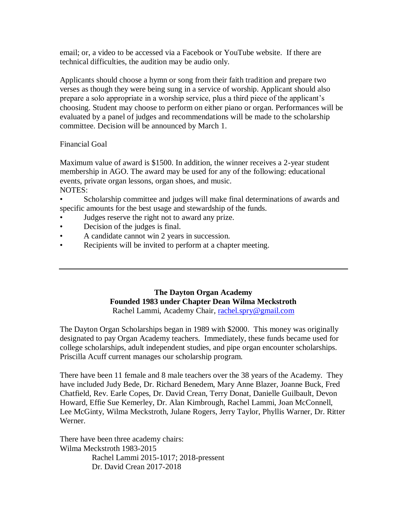email; or, a video to be accessed via a Facebook or YouTube website. If there are technical difficulties, the audition may be audio only.

Applicants should choose a hymn or song from their faith tradition and prepare two verses as though they were being sung in a service of worship. Applicant should also prepare a solo appropriate in a worship service, plus a third piece of the applicant's choosing. Student may choose to perform on either piano or organ. Performances will be evaluated by a panel of judges and recommendations will be made to the scholarship committee. Decision will be announced by March 1.

### Financial Goal

Maximum value of award is \$1500. In addition, the winner receives a 2-year student membership in AGO. The award may be used for any of the following: educational events, private organ lessons, organ shoes, and music. NOTES:

• Scholarship committee and judges will make final determinations of awards and specific amounts for the best usage and stewardship of the funds.

- Judges reserve the right not to award any prize.
- Decision of the judges is final.
- A candidate cannot win 2 years in succession.
- Recipients will be invited to perform at a chapter meeting.

#### **The Dayton Organ Academy Founded 1983 under Chapter Dean Wilma Meckstroth** Rachel Lammi, Academy Chair, [rachel.spry@gmail.com](mailto:rachel.spry@gmail.com)

The Dayton Organ Scholarships began in 1989 with \$2000. This money was originally designated to pay Organ Academy teachers. Immediately, these funds became used for college scholarships, adult independent studies, and pipe organ encounter scholarships. Priscilla Acuff current manages our scholarship program.

There have been 11 female and 8 male teachers over the 38 years of the Academy. They have included Judy Bede, Dr. Richard Benedem, Mary Anne Blazer, Joanne Buck, Fred Chatfield, Rev. Earle Copes, Dr. David Crean, Terry Donat, Danielle Guilbault, Devon Howard, Effie Sue Kemerley, Dr. Alan Kimbrough, Rachel Lammi, Joan McConnell, Lee McGinty, Wilma Meckstroth, Julane Rogers, Jerry Taylor, Phyllis Warner, Dr. Ritter Werner.

There have been three academy chairs: Wilma Meckstroth 1983-2015 Rachel Lammi 2015-1017; 2018-pressent Dr. David Crean 2017-2018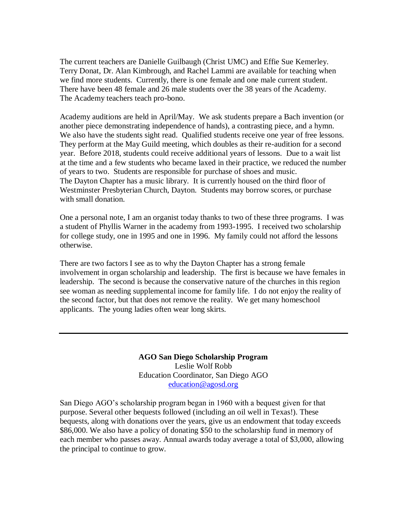The current teachers are Danielle Guilbaugh (Christ UMC) and Effie Sue Kemerley. Terry Donat, Dr. Alan Kimbrough, and Rachel Lammi are available for teaching when we find more students. Currently, there is one female and one male current student. There have been 48 female and 26 male students over the 38 years of the Academy. The Academy teachers teach pro-bono.

Academy auditions are held in April/May. We ask students prepare a Bach invention (or another piece demonstrating independence of hands), a contrasting piece, and a hymn. We also have the students sight read. Qualified students receive one year of free lessons. They perform at the May Guild meeting, which doubles as their re-audition for a second year. Before 2018, students could receive additional years of lessons. Due to a wait list at the time and a few students who became laxed in their practice, we reduced the number of years to two. Students are responsible for purchase of shoes and music. The Dayton Chapter has a music library. It is currently housed on the third floor of Westminster Presbyterian Church, Dayton. Students may borrow scores, or purchase with small donation.

One a personal note, I am an organist today thanks to two of these three programs. I was a student of Phyllis Warner in the academy from 1993-1995. I received two scholarship for college study, one in 1995 and one in 1996. My family could not afford the lessons otherwise.

There are two factors I see as to why the Dayton Chapter has a strong female involvement in organ scholarship and leadership. The first is because we have females in leadership. The second is because the conservative nature of the churches in this region see woman as needing supplemental income for family life. I do not enjoy the reality of the second factor, but that does not remove the reality. We get many homeschool applicants. The young ladies often wear long skirts.

> **AGO San Diego Scholarship Program** Leslie Wolf Robb Education Coordinator, San Diego AGO [education@agosd.org](mailto:education@agosd.org)

San Diego AGO's scholarship program began in 1960 with a bequest given for that purpose. Several other bequests followed (including an oil well in Texas!). These bequests, along with donations over the years, give us an endowment that today exceeds \$86,000. We also have a policy of donating \$50 to the scholarship fund in memory of each member who passes away. Annual awards today average a total of \$3,000, allowing the principal to continue to grow.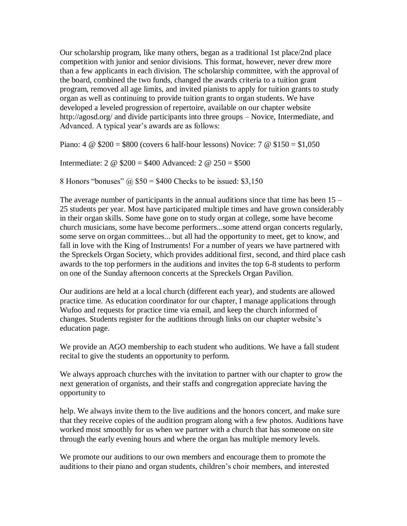Our scholarship program, like many others, began as a traditional 1st place/2nd place competition with junior and senior divisions. This format, however, never drew more than a few applicants in each division. The scholarship committee, with the approval of the board, combined the two funds, changed the awards criteria to a tuition grant program, removed all age limits, and invited pianists to apply for tuition grants to study organ as well as continuing to provide tuition grants to organ students. We have developed a leveled progression of repertoire, available on our chapter website http://agosd.org/ and divide participants into three groups – Novice, Intermediate, and Advanced. A typical year's awards are as follows:

Piano:  $4 \& $200 = $800$  (covers 6 half-hour lessons) Novice:  $7 \& $150 = $1,050$ 

Intermediate: 2 @ \$200 = \$400 Advanced: 2 @ 250 = \$500

8 Honors "bonuses"  $\omega$  \$50 = \$400 Checks to be issued: \$3,150

The average number of participants in the annual auditions since that time has been 15 – 25 students per year. Most have participated multiple times and have grown considerably in their organ skills. Some have gone on to study organ at college, some have become church musicians, some have become performers...some attend organ concerts regularly, some serve on organ committees... but all had the opportunity to meet, get to know, and fall in love with the King of Instruments! For a number of years we have partnered with the Spreckels Organ Society, which provides additional first, second, and third place cash awards to the top performers in the auditions and invites the top 6-8 students to perform on one of the Sunday afternoon concerts at the Spreckels Organ Pavilion.

Our auditions are held at a local church (different each year), and students are allowed practice time. As education coordinator for our chapter, I manage applications through Wufoo and requests for practice time via email, and keep the church informed of changes. Students register for the auditions through links on our chapter website's education page.

We provide an AGO membership to each student who auditions. We have a fall student recital to give the students an opportunity to perform.

We always approach churches with the invitation to partner with our chapter to grow the next generation of organists, and their staffs and congregation appreciate having the opportunity to

help. We always invite them to the live auditions and the honors concert, and make sure that they receive copies of the audition program along with a few photos. Auditions have worked most smoothly for us when we partner with a church that has someone on site through the early evening hours and where the organ has multiple memory levels.

We promote our auditions to our own members and encourage them to promote the auditions to their piano and organ students, children's choir members, and interested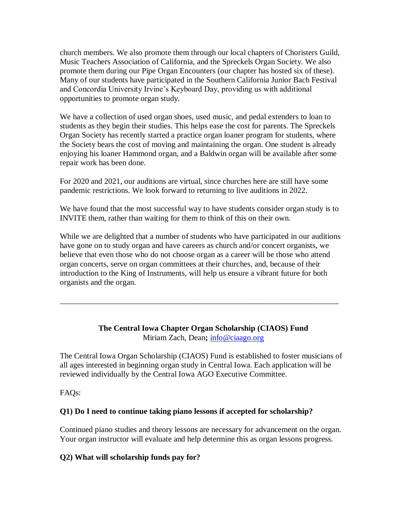church members. We also promote them through our local chapters of Choristers Guild, Music Teachers Association of California, and the Spreckels Organ Society. We also promote them during our Pipe Organ Encounters (our chapter has hosted six of these). Many of our students have participated in the Southern California Junior Bach Festival and Concordia University Irvine's Keyboard Day, providing us with additional opportunities to promote organ study.

We have a collection of used organ shoes, used music, and pedal extenders to loan to students as they begin their studies. This helps ease the cost for parents. The Spreckels Organ Society has recently started a practice organ loaner program for students, where the Society bears the cost of moving and maintaining the organ. One student is already enjoying his loaner Hammond organ, and a Baldwin organ will be available after some repair work has been done.

For 2020 and 2021, our auditions are virtual, since churches here are still have some pandemic restrictions. We look forward to returning to live auditions in 2022.

We have found that the most successful way to have students consider organ study is to INVITE them, rather than waiting for them to think of this on their own.

While we are delighted that a number of students who have participated in our auditions have gone on to study organ and have careers as church and/or concert organists, we believe that even those who do not choose organ as a career will be those who attend organ concerts, serve on organ committees at their churches, and, because of their introduction to the King of Instruments, will help us ensure a vibrant future for both organists and the organ.

\_\_\_\_\_\_\_\_\_\_\_\_\_\_\_\_\_\_\_\_\_\_\_\_\_\_\_\_\_\_\_\_\_\_\_\_\_\_\_\_\_\_\_\_\_\_\_\_\_\_\_\_\_\_\_\_\_\_\_\_\_\_\_\_\_\_\_\_\_\_

# **The Central Iowa Chapter Organ Scholarship (CIAOS) Fund** Miriam Zach, Dean**;** [info@ciaago.org](mailto:info@ciaago.org)

The Central Iowa Organ Scholarship (CIAOS) Fund is established to foster musicians of all ages interested in beginning organ study in Central Iowa. Each application will be reviewed individually by the Central Iowa AGO Executive Committee.

FAQs:

# **Q1) Do I need to continue taking piano lessons if accepted for scholarship?**

Continued piano studies and theory lessons are necessary for advancement on the organ. Your organ instructor will evaluate and help determine this as organ lessons progress.

# **Q2) What will scholarship funds pay for?**